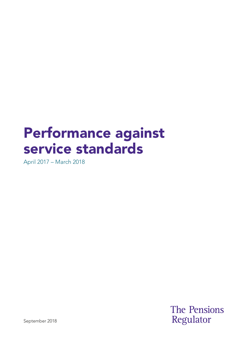# Performance against service standards

April 2017 – March 2018

**The Pensions** Regulator

September 2018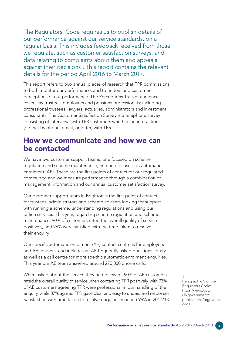The Regulators' Code requires us to publish details of our performance against our service standards, on a regular basis. This includes feedback received from those we regulate, such as customer satisfaction surveys, and data relating to complaints about them and appeals against their decisions<sup>1</sup>. This report contains the relevant details for the period April 2016 to March 2017.

This report refers to two annual pieces of research that TPR commissions to both monitor our performance, and to understand customers' perceptions of our performance. The Perceptions Tracker audience covers lay trustees, employers and pensions professionals; including professional trustees, lawyers, actuaries, administrators and investment consultants. The Customer Satisfaction Survey is a telephone survey consisting of interviews with TPR customers who had an interaction (be that by phone, email, or letter) with TPR.

#### How we communicate and how we can be contacted

We have two customer support teams, one focused on scheme regulation and scheme maintenance, and one focused on automatic enrolment (AE). These are the first points of contact for our regulated community, and we measure performance through a combination of management information and our annual customer satisfaction survey.

Our customer support team in Brighton is the first point of contact for trustees, administrators and scheme advisers looking for support with running a scheme, understanding regulations and using our online services. This year, regarding scheme regulation and scheme maintenance, 90% of customers rated the overall quality of service positively, and 96% were satisfed with the time taken to resolve their enquiry.

Our specific automatic enrolment (AE) contact centre is for employers and AE advisers, and includes an AE frequently asked questions library, as well as a call centre for more specifc automatic enrolment enquiries. This year our AE team answered around 270,000 phone calls.

When asked about the service they had received, 90% of AE customers rated the overall quality of service when contacting TPR positively, with 93% of AE customers agreeing TPR were professional in our handling of the enquiry, while 87% agreed TPR gave clear and easy to understand responses. Satisfaction with time taken to resolve enquiries reached 96% in 2017/18.

Paragraph 6.5 of the Regulators Code: [https://www.gov.](https://www.gov.uk/government/publications/regulators-code) [uk/government/](https://www.gov.uk/government/publications/regulators-code) [publications/regulators](https://www.gov.uk/government/publications/regulators-code)[code](https://www.gov.uk/government/publications/regulators-code) 1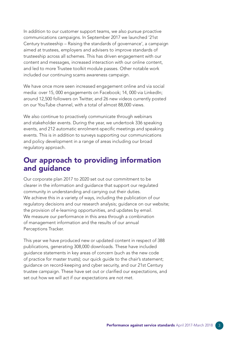In addition to our customer support teams, we also pursue proactive communications campaigns. In September 2017 we launched '21st Century trusteeship – Raising the standards of governance', a campaign aimed at trustees, employers and advisers to improve standards of trusteeship across all schemes. This has driven engagement with our content and messages, increased interaction with our online content, and led to more Trustee toolkit module passes. Other notable work included our continuing scams awareness campaign.

We have once more seen increased engagement online and via social media: over 15, 000 engagements on Facebook; 14, 000 via LinkedIn; around 12,500 followers on Twitter, and 26 new videos currently posted on our YouTube channel, with a total of almost 88,000 views.

We also continue to proactively communicate through webinars and stakeholder events. During the year, we undertook 336 speaking events, and 212 automatic enrolment-specifc meetings and speaking events. This is in addition to surveys supporting our communications and policy development in a range of areas including our broad regulatory approach.

## Our approach to providing information and guidance

Our corporate plan 2017 to 2020 set out our commitment to be clearer in the information and guidance that support our regulated community in understanding and carrying out their duties. We achieve this in a variety of ways, including the publication of our regulatory decisions and our research analysis; guidance on our website; the provision of e-learning opportunities, and updates by email. We measure our performance in this area through a combination of management information and the results of our annual Perceptions Tracker.

This year we have produced new or updated content in respect of 388 publications, generating 308,000 downloads. These have included guidance statements in key areas of concern (such as the new code of practice for master trusts); our quick guide to the chair's statement; guidance on record-keeping and cyber security, and our 21st Century trustee campaign. These have set out or clarifed our expectations, and set out how we will act if our expectations are not met.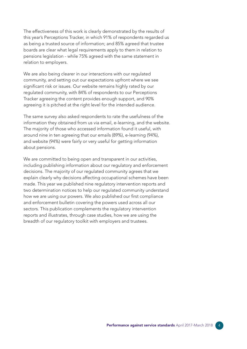The effectiveness of this work is clearly demonstrated by the results of this year's Perceptions Tracker, in which 91% of respondents regarded us as being a trusted source of information; and 85% agreed that trustee boards are clear what legal requirements apply to them in relation to pensions legislation - while 75% agreed with the same statement in relation to employers.

We are also being clearer in our interactions with our regulated community, and setting out our expectations upfront where we see significant risk or issues. Our website remains highly rated by our regulated community, with 84% of respondents to our Perceptions Tracker agreeing the content provides enough support, and 90% agreeing it is pitched at the right level for the intended audience.

The same survey also asked respondents to rate the usefulness of the information they obtained from us via email, e-learning, and the website. The majority of those who accessed information found it useful, with around nine in ten agreeing that our emails (89%), e-learning (94%), and website (94%) were fairly or very useful for getting information about pensions.

We are committed to being open and transparent in our activities, including publishing information about our regulatory and enforcement decisions. The majority of our regulated community agrees that we explain clearly why decisions affecting occupational schemes have been made. This year we published nine regulatory intervention reports and two determination notices to help our regulated community understand how we are using our powers. We also published our first compliance and enforcement bulletin covering the powers used across all our sectors. This publication complements the regulatory intervention reports and illustrates, through case studies, how we are using the breadth of our regulatory toolkit with employers and trustees.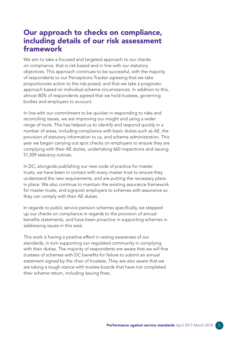#### Our approach to checks on compliance, including details of our risk assessment framework

We aim to take a focused and targeted approach to our checks on compliance, that is risk based and in line with our statutory objectives. This approach continues to be successful, with the majority of respondents to our Perceptions Tracker agreeing that we take proportionate action to the risk posed, and that we take a pragmatic approach based on individual scheme circumstances. In addition to this, almost 80% of respondents agreed that we hold trustees, governing bodies and employers to account.

In line with our commitment to be quicker in responding to risks and reconciling issues, we are improving our insight and using a wider range of tools. This has helped us to identify and respond quickly in a number of areas, including compliance with basic duties such as AE, the provision of statutory information to us, and scheme administration. This year we began carrying out spot checks on employers to ensure they are complying with their AE duties, undertaking 660 inspections and issuing 51,509 statutory notices.

In DC, alongside publishing our new code of practice for master trusts, we have been in contact with every master trust to ensure they understand the new requirements, and are putting the necessary plans in place. We also continue to maintain the existing assurance framework for master trusts, and signpost employers to schemes with assurance so they can comply with their AE duties.

In regards to public service pension schemes specifcally, we stepped up our checks on compliance in regards to the provision of annual benefits statements, and have been proactive in supporting schemes in addressing issues in this area.

This work is having a positive effect in raising awareness of our standards, in turn supporting our regulated community in complying with their duties. The majority of respondents are aware that we will fine trustees of schemes with DC benefts for failure to submit an annual statement signed by the chair of trustees. They are also aware that we are taking a tough stance with trustee boards that have not completed their scheme return, including issuing fines.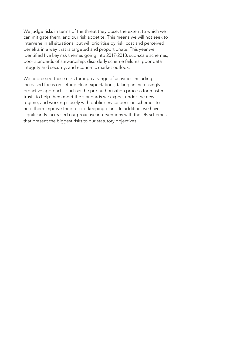We judge risks in terms of the threat they pose, the extent to which we can mitigate them, and our risk appetite. This means we will not seek to intervene in all situations, but will prioritise by risk, cost and perceived benefts in a way that is targeted and proportionate. This year we identified five key risk themes going into 2017-2018: sub-scale schemes; poor standards of stewardship; disorderly scheme failures; poor data integrity and security; and economic market outlook.

We addressed these risks through a range of activities including increased focus on setting clear expectations, taking an increasingly proactive approach - such as the pre-authorisation process for master trusts to help them meet the standards we expect under the new regime, and working closely with public service pension schemes to help them improve their record-keeping plans. In addition, we have significantly increased our proactive interventions with the DB schemes that present the biggest risks to our statutory objectives.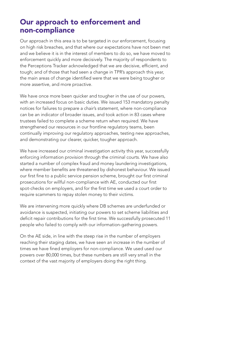#### Our approach to enforcement and non-compliance

Our approach in this area is to be targeted in our enforcement, focusing on high risk breaches, and that where our expectations have not been met and we believe it is in the interest of members to do so, we have moved to enforcement quickly and more decisively. The majority of respondents to the Perceptions Tracker acknowledged that we are decisive, efficient, and tough; and of those that had seen a change in TPR's approach this year, the main areas of change identifed were that we were being tougher or more assertive, and more proactive.

We have once more been quicker and tougher in the use of our powers, with an increased focus on basic duties. We issued 153 mandatory penalty notices for failures to prepare a chair's statement, where non-compliance can be an indicator of broader issues, and took action in 83 cases where trustees failed to complete a scheme return when required. We have strengthened our resources in our frontline regulatory teams, been continually improving our regulatory approaches, testing new approaches, and demonstrating our clearer, quicker, tougher approach.

We have increased our criminal investigation activity this year, successfully enforcing information provision through the criminal courts. We have also started a number of complex fraud and money laundering investigations, where member benefits are threatened by dishonest behaviour. We issued our first fine to a public service pension scheme, brought our first criminal prosecutions for willful non-compliance with AE, conducted our first spot-checks on employers, and for the frst time we used a court order to require scammers to repay stolen money to their victims.

We are intervening more quickly where DB schemes are underfunded or avoidance is suspected, initiating our powers to set scheme liabilities and deficit repair contributions for the first time. We successfully prosecuted 11 people who failed to comply with our information-gathering powers.

On the AE side, in line with the steep rise in the number of employers reaching their staging dates, we have seen an increase in the number of times we have fined employers for non-compliance. We used used our powers over 80,000 times, but these numbers are still very small in the context of the vast majority of employers doing the right thing.